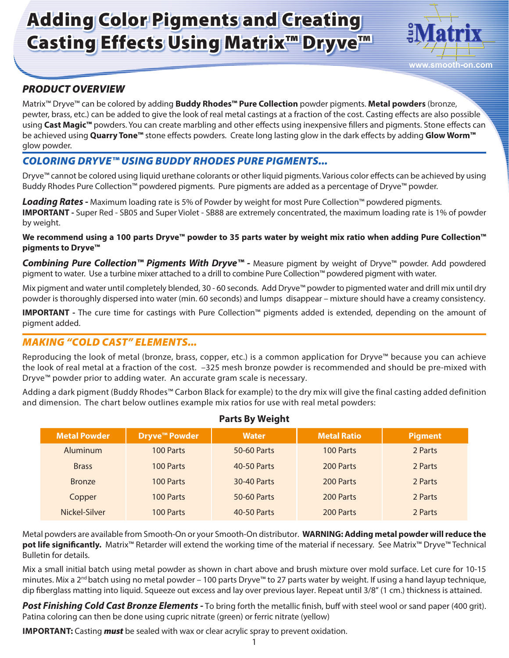# Adding Color Pigments and Creating Casting Effects Using Matrix™ Dryve™



# *PRODUCT OVERVIEW*

Matrix™ Dryve™ can be colored by adding **Buddy Rhodes™ Pure Collection** powder pigments. **Metal powders** (bronze, pewter, brass, etc.) can be added to give the look of real metal castings at a fraction of the cost. Casting effects are also possible using **Cast Magic™** powders. You can create marbling and other effects using inexpensive fillers and pigments. Stone effects can be achieved using **Quarry Tone™** stone effects powders. Create long lasting glow in the dark effects by adding **Glow Worm™** glow powder.

## *COLORING DRYVE™ USING BUDDY RHODES PURE PIGMENTS...*

Dryve™ cannot be colored using liquid urethane colorants or other liquid pigments. Various color effects can be achieved by using Buddy Rhodes Pure Collection™ powdered pigments. Pure pigments are added as a percentage of Dryve™ powder.

*Loading Rates -* Maximum loading rate is 5% of Powder by weight for most Pure Collection™ powdered pigments. **IMPORTANT -** Super Red - SB05 and Super Violet - SB88 are extremely concentrated, the maximum loading rate is 1% of powder by weight.

**We recommend using a 100 parts Dryve™ powder to 35 parts water by weight mix ratio when adding Pure Collection™ pigments to Dryve™**

Combining Pure Collection<sup>™</sup> Pigments With Dryve<sup>™</sup> - Measure pigment by weight of Dryve<sup>™</sup> powder. Add powdered pigment to water. Use a turbine mixer attached to a drill to combine Pure Collection™ powdered pigment with water.

Mix pigment and water until completely blended, 30 - 60 seconds. Add Dryve™ powder to pigmented water and drill mix until dry powder is thoroughly dispersed into water (min. 60 seconds) and lumps disappear – mixture should have a creamy consistency.

**IMPORTANT -** The cure time for castings with Pure Collection™ pigments added is extended, depending on the amount of pigment added.

## *MAKING "COLD CAST" ELEMENTS...*

Reproducing the look of metal (bronze, brass, copper, etc.) is a common application for Dryve™ because you can achieve the look of real metal at a fraction of the cost. –325 mesh bronze powder is recommended and should be pre-mixed with Dryve™ powder prior to adding water. An accurate gram scale is necessary.

Adding a dark pigment (Buddy Rhodes™ Carbon Black for example) to the dry mix will give the final casting added definition and dimension. The chart below outlines example mix ratios for use with real metal powders:

| <b>Metal Powder</b> | <b>Dryve<sup>™</sup> Powder</b> | <b>Water</b> | <b>Metal Ratio</b> | <b>Pigment</b> |  |  |
|---------------------|---------------------------------|--------------|--------------------|----------------|--|--|
| Aluminum            | 100 Parts                       | 50-60 Parts  | 100 Parts          | 2 Parts        |  |  |
| <b>Brass</b>        | 100 Parts                       | 40-50 Parts  | 200 Parts          | 2 Parts        |  |  |
| <b>Bronze</b>       | 100 Parts                       | 30-40 Parts  | 200 Parts          | 2 Parts        |  |  |
| Copper              | 100 Parts                       | 50-60 Parts  | 200 Parts          | 2 Parts        |  |  |
| Nickel-Silver       | 100 Parts                       | 40-50 Parts  | 200 Parts          | 2 Parts        |  |  |

#### **Parts By Weight**

Metal powders are available from Smooth-On or your Smooth-On distributor. **WARNING: Adding metal powder will reduce the pot life significantly.** Matrix™ Retarder will extend the working time of the material if necessary. See Matrix™ Dryve™ Technical Bulletin for details.

Mix a small initial batch using metal powder as shown in chart above and brush mixture over mold surface. Let cure for 10-15 minutes. Mix a 2<sup>nd</sup> batch using no metal powder – 100 parts Dryve<sup>m</sup> to 27 parts water by weight. If using a hand layup technique, dip fiberglass matting into liquid. Squeeze out excess and lay over previous layer. Repeat until 3/8" (1 cm.) thickness is attained.

*Post Finishing Cold Cast Bronze Elements -* To bring forth the metallic finish, buff with steel wool or sand paper (400 grit). Patina coloring can then be done using cupric nitrate (green) or ferric nitrate (yellow)

**IMPORTANT:** Casting *must* be sealed with wax or clear acrylic spray to prevent oxidation.